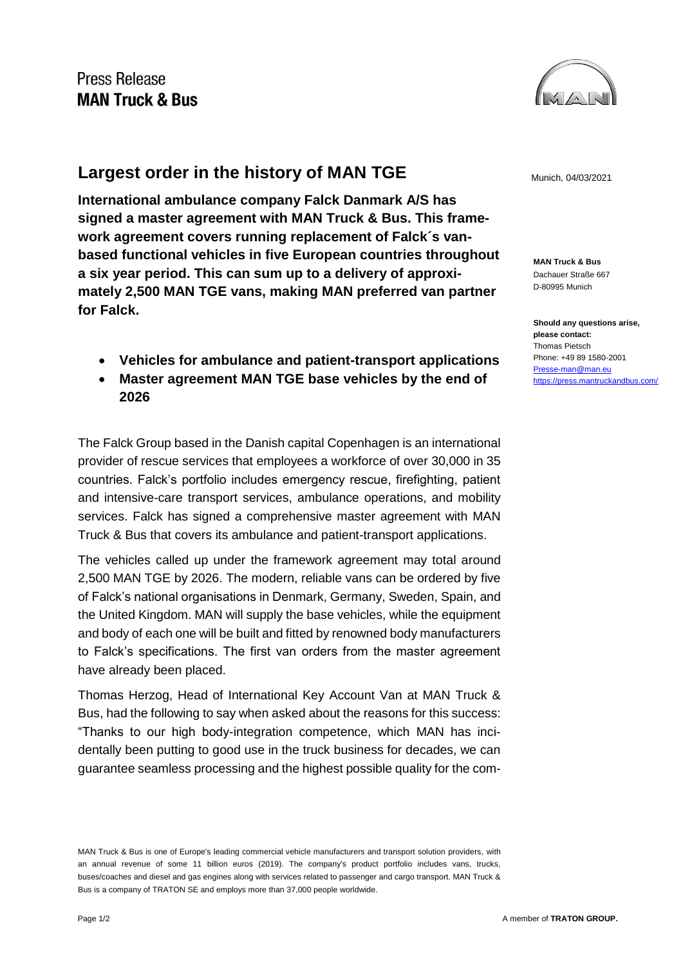## Press Release **MAN Truck & Bus**



## **Largest order in the history of MAN TGE** Munich, 04/03/2021

**International ambulance company Falck Danmark A/S has signed a master agreement with MAN Truck & Bus. This framework agreement covers running replacement of Falck´s vanbased functional vehicles in five European countries throughout a six year period. This can sum up to a delivery of approximately 2,500 MAN TGE vans, making MAN preferred van partner for Falck.**

- **Vehicles for ambulance and patient-transport applications**
- **Master agreement MAN TGE base vehicles by the end of 2026**

The Falck Group based in the Danish capital Copenhagen is an international provider of rescue services that employees a workforce of over 30,000 in 35 countries. Falck's portfolio includes emergency rescue, firefighting, patient and intensive-care transport services, ambulance operations, and mobility services. Falck has signed a comprehensive master agreement with MAN Truck & Bus that covers its ambulance and patient-transport applications.

The vehicles called up under the framework agreement may total around 2,500 MAN TGE by 2026. The modern, reliable vans can be ordered by five of Falck's national organisations in Denmark, Germany, Sweden, Spain, and the United Kingdom. MAN will supply the base vehicles, while the equipment and body of each one will be built and fitted by renowned body manufacturers to Falck's specifications. The first van orders from the master agreement have already been placed.

Thomas Herzog, Head of International Key Account Van at MAN Truck & Bus, had the following to say when asked about the reasons for this success: "Thanks to our high body-integration competence, which MAN has incidentally been putting to good use in the truck business for decades, we can guarantee seamless processing and the highest possible quality for the com-

**MAN Truck & Bus** Dachauer Straße 667 D-80995 Munich

**Should any questions arise, please contact:** Thomas Pietsch Phone: +49 89 1580-2001 [Presse-man@man.eu](mailto:Presse-man@man.eu) <https://press.mantruckandbus.com/>

MAN Truck & Bus is one of Europe's leading commercial vehicle manufacturers and transport solution providers, with an annual revenue of some 11 billion euros (2019). The company's product portfolio includes vans, trucks, buses/coaches and diesel and gas engines along with services related to passenger and cargo transport. MAN Truck & Bus is a company of TRATON SE and employs more than 37,000 people worldwide.